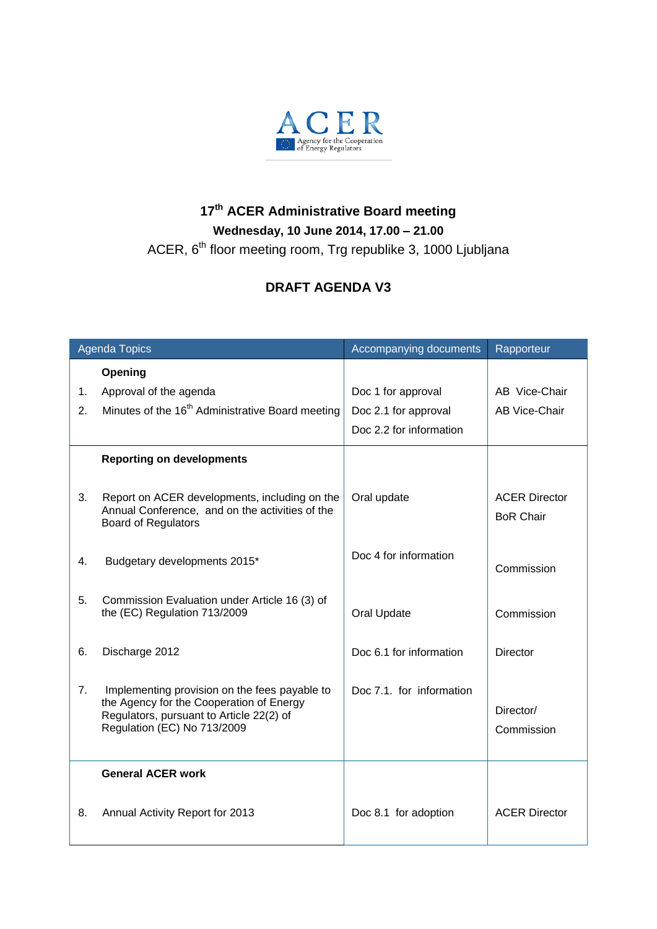

## **17 th ACER Administrative Board meeting Wednesday, 10 June 2014, 17.00 – 21.00**

ACER, 6<sup>th</sup> floor meeting room, Trg republike 3, 1000 Ljubljana

## **DRAFT AGENDA V3**

| <b>Agenda Topics</b> |                                                                                                                                                                      | Accompanying documents   | Rapporteur                               |
|----------------------|----------------------------------------------------------------------------------------------------------------------------------------------------------------------|--------------------------|------------------------------------------|
|                      | Opening                                                                                                                                                              |                          |                                          |
| 1.                   | Approval of the agenda                                                                                                                                               | Doc 1 for approval       | AB Vice-Chair                            |
| 2.                   | Minutes of the 16 <sup>th</sup> Administrative Board meeting                                                                                                         | Doc 2.1 for approval     | AB Vice-Chair                            |
|                      |                                                                                                                                                                      | Doc 2.2 for information  |                                          |
|                      | <b>Reporting on developments</b>                                                                                                                                     |                          |                                          |
| 3.                   | Report on ACER developments, including on the<br>Annual Conference, and on the activities of the<br><b>Board of Regulators</b>                                       | Oral update              | <b>ACER Director</b><br><b>BoR Chair</b> |
| 4.                   | Budgetary developments 2015*                                                                                                                                         | Doc 4 for information    | Commission                               |
| 5.                   | Commission Evaluation under Article 16 (3) of<br>the (EC) Regulation 713/2009                                                                                        | Oral Update              | Commission                               |
| 6.                   | Discharge 2012                                                                                                                                                       | Doc 6.1 for information  | <b>Director</b>                          |
| 7.                   | Implementing provision on the fees payable to<br>the Agency for the Cooperation of Energy<br>Regulators, pursuant to Article 22(2) of<br>Regulation (EC) No 713/2009 | Doc 7.1, for information | Director/<br>Commission                  |
|                      | <b>General ACER work</b>                                                                                                                                             |                          |                                          |
| 8.                   | Annual Activity Report for 2013                                                                                                                                      | Doc 8.1 for adoption     | <b>ACER Director</b>                     |